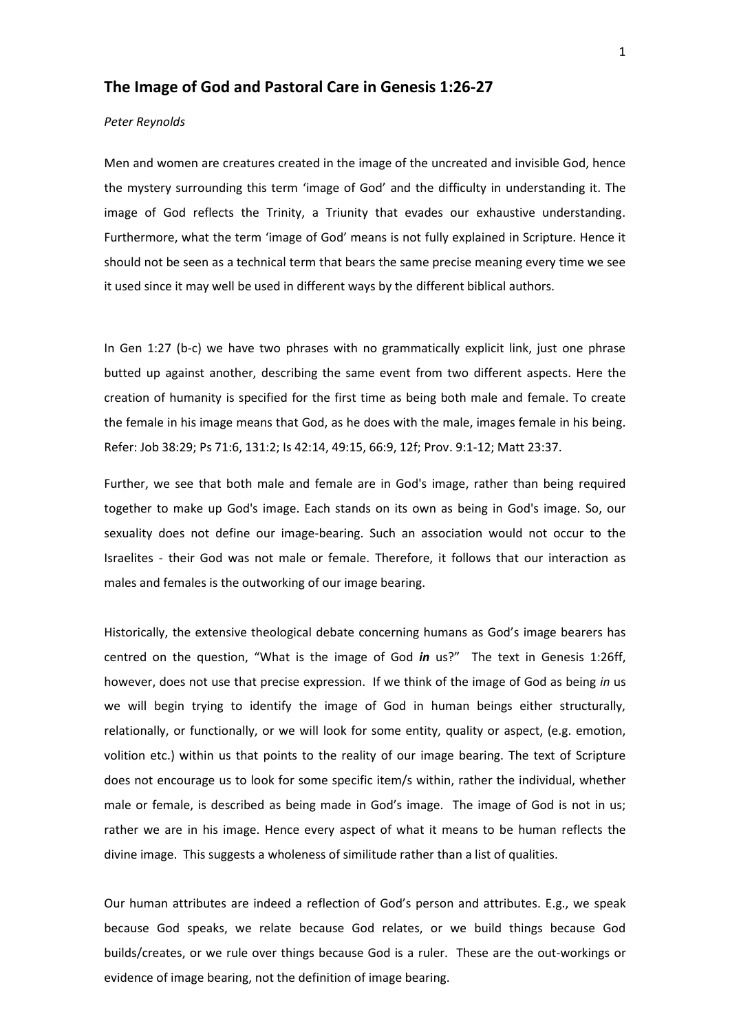## **The Image of God and Pastoral Care in Genesis 1:26-27**

## *Peter Reynolds*

Men and women are creatures created in the image of the uncreated and invisible God, hence the mystery surrounding this term 'image of God' and the difficulty in understanding it. The image of God reflects the Trinity, a Triunity that evades our exhaustive understanding. Furthermore, what the term 'image of God' means is not fully explained in Scripture. Hence it should not be seen as a technical term that bears the same precise meaning every time we see it used since it may well be used in different ways by the different biblical authors.

In Gen 1:27 (b-c) we have two phrases with no grammatically explicit link, just one phrase butted up against another, describing the same event from two different aspects. Here the creation of humanity is specified for the first time as being both male and female. To create the female in his image means that God, as he does with the male, images female in his being. Refer: Job 38:29; Ps 71:6, 131:2; Is 42:14, 49:15, 66:9, 12f; Prov. 9:1-12; Matt 23:37.

Further, we see that both male and female are in God's image, rather than being required together to make up God's image. Each stands on its own as being in God's image. So, our sexuality does not define our image-bearing. Such an association would not occur to the Israelites - their God was not male or female. Therefore, it follows that our interaction as males and females is the outworking of our image bearing.

Historically, the extensive theological debate concerning humans as God's image bearers has centred on the question, "What is the image of God *in* us?" The text in Genesis 1:26ff, however, does not use that precise expression. If we think of the image of God as being *in* us we will begin trying to identify the image of God in human beings either structurally, relationally, or functionally, or we will look for some entity, quality or aspect, (e.g. emotion, volition etc.) within us that points to the reality of our image bearing. The text of Scripture does not encourage us to look for some specific item/s within, rather the individual, whether male or female, is described as being made in God's image. The image of God is not in us; rather we are in his image. Hence every aspect of what it means to be human reflects the divine image. This suggests a wholeness of similitude rather than a list of qualities.

Our human attributes are indeed a reflection of God's person and attributes. E.g., we speak because God speaks, we relate because God relates, or we build things because God builds/creates, or we rule over things because God is a ruler. These are the out-workings or evidence of image bearing, not the definition of image bearing.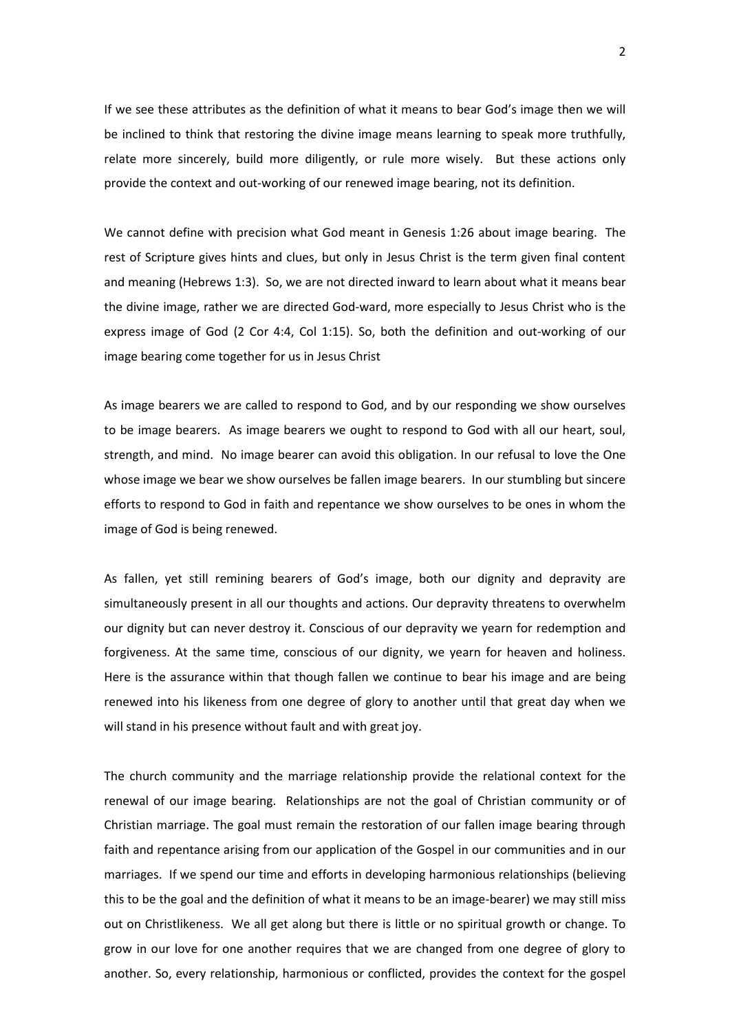If we see these attributes as the definition of what it means to bear God's image then we will be inclined to think that restoring the divine image means learning to speak more truthfully, relate more sincerely, build more diligently, or rule more wisely. But these actions only provide the context and out-working of our renewed image bearing, not its definition.

We cannot define with precision what God meant in Genesis 1:26 about image bearing. The rest of Scripture gives hints and clues, but only in Jesus Christ is the term given final content and meaning (Hebrews 1:3). So, we are not directed inward to learn about what it means bear the divine image, rather we are directed God-ward, more especially to Jesus Christ who is the express image of God (2 Cor 4:4, Col 1:15). So, both the definition and out-working of our image bearing come together for us in Jesus Christ

As image bearers we are called to respond to God, and by our responding we show ourselves to be image bearers. As image bearers we ought to respond to God with all our heart, soul, strength, and mind. No image bearer can avoid this obligation. In our refusal to love the One whose image we bear we show ourselves be fallen image bearers. In our stumbling but sincere efforts to respond to God in faith and repentance we show ourselves to be ones in whom the image of God is being renewed.

As fallen, yet still remining bearers of God's image, both our dignity and depravity are simultaneously present in all our thoughts and actions. Our depravity threatens to overwhelm our dignity but can never destroy it. Conscious of our depravity we yearn for redemption and forgiveness. At the same time, conscious of our dignity, we yearn for heaven and holiness. Here is the assurance within that though fallen we continue to bear his image and are being renewed into his likeness from one degree of glory to another until that great day when we will stand in his presence without fault and with great joy.

The church community and the marriage relationship provide the relational context for the renewal of our image bearing. Relationships are not the goal of Christian community or of Christian marriage. The goal must remain the restoration of our fallen image bearing through faith and repentance arising from our application of the Gospel in our communities and in our marriages. If we spend our time and efforts in developing harmonious relationships (believing this to be the goal and the definition of what it means to be an image-bearer) we may still miss out on Christlikeness. We all get along but there is little or no spiritual growth or change. To grow in our love for one another requires that we are changed from one degree of glory to another. So, every relationship, harmonious or conflicted, provides the context for the gospel